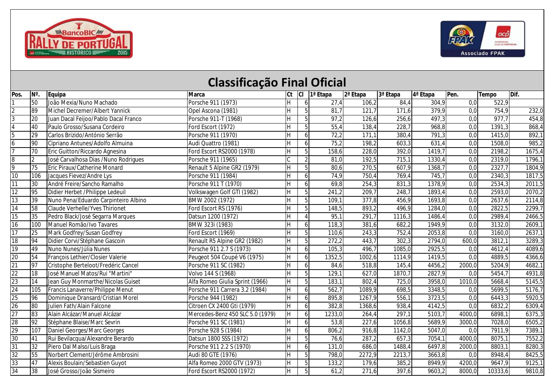



|                         |                 |                                      | <b>Classificação Final Oficial</b> |     |                |                |          |          |                      |                  |              |                     |
|-------------------------|-----------------|--------------------------------------|------------------------------------|-----|----------------|----------------|----------|----------|----------------------|------------------|--------------|---------------------|
| Pos.                    | N°              | <b>Equipa</b>                        | <b>Marca</b>                       |     |                | Ct Cl 1ª Etapa | 2ª Etapa | 3ª Etapa | 4 <sup>ª</sup> Etapa | IPen.            | <b>Tempo</b> | Dif.                |
| $\mathbf{1}$            | 50              | João Mexia/Nuno Machado              | Porsche 911 (1973)                 |     |                | 27,4           | 106,2    | 84,4     | 304,9                | 0,0              | 522,9        |                     |
| $\overline{a}$          | 89              | Michel Decremer/Albert Yannick       | Opel Ascona (1981)                 | H.  | 5              | 81,7           | 121,7    | 171,6    | 379,9                | 0,0              | 754,9        | 232,0               |
| 3                       | 20              | Juan Dacal Feijoo/Pablo Dacal Franco | Porsche 911-T (1968)               | H.  | 5              | 97,2           | 126,6    | 256,6    | $\overline{4}97,3$   | 0,0              | 977,7        | 454,8               |
| $\overline{\mathbf{4}}$ | 40              | Paulo Grosso/Susana Cordeiro         | Ford Escort (1972)                 | H.  | 5              | 55,4           | 138,4    | 228,7    | 968,8                | 0,0              | 1391,3       | 868,4               |
| $\overline{5}$          | 29              | Carlos Brizido/António Serrão        | Porsche 911 (1970)                 | H   | 6              | 72,2           | 171,1    | 380,4    | 791,3                | 0,0              | 1415,0       | 892,1               |
| 6                       | 90              | Cipriano Antunes/Adolfo Almuina      | Audi Quattro (1981)                | H   | 6              | 75,2           | 198,2    | 603,3    | 631,4                | 0,0              | 1508,0       | 985,2               |
| $\overline{7}$          | 70              | Eric Guitton/Riccardo Agnesina       | Ford Escort RS2000 (1978)          | H   | 5              | 158,6          | 228,0    | 392,0    | 1419,7               | 0,0              | 2198,2       | 1675,4              |
| 8                       | 2               | José Carvalhosa Dias /Nuno Rodrigues | Porsche 911 (1965)                 |     | $\overline{2}$ | 81,0           | 192,5    | 715,1    | 1330,4               | 0,0              | 2319,0       | 1796,1              |
| 9                       | $\overline{75}$ | Eric Piraux/Catherine Monard         | Renault 5 Alpine GR2 (1979)        | ΙH. | 5              | 80,6           | 270,5    | 607,9    | 1368,7               | $\overline{0,0}$ | 2327,7       | 1804,9              |
| 10                      | 106             | Jacques Fievez/Andre Lys             | Porsche 911 (1984)                 | H   | 6              | 74,9           | 750,4    | 769,4    | 745,7                | 0,0              | 2340,3       | 1817,5              |
| 11                      | 30              | André Freire/Sancho Ramalho          | Porsche 911 T (1970)               | H   | 6              | 69,8           | 254,3    | 831,3    | 1378,9               | 0,0              | 2534,3       | 2011,5              |
| $\overline{12}$         | 95              | Didier Herbet / Philippe Ledeuil     | Volkswagen Golf GTI (1982)         | H.  | 5              | 241,2          | 209,7    | 248,7    | 1893,4               | 0,0              | 2593,0       | 2070,2              |
| $\overline{13}$         | 39              | Nuno Pena/Eduardo Carpinteiro Albino | BMW 2002 (1972)                    | H.  | 5              | 109,1          | 377,8    | 456,9    | 1693,8               | 0,0              | 2637,6       | 2114,8              |
| 14                      | 58              | Claude Verhelle/Yves Thirionet       | Ford Escort RS (1976)              | H   | 5              | 148,5          | 893,2    | 496,9    | 1284,0               | 0,0              | 2822,5       | 2299,7              |
| 15                      | 35              | Pedro Black/José Segarra Marques     | Datsun 1200 (1972)                 | H   | $\overline{4}$ | 95,7           | 291,7    | 1116,3   | 1486,4               | $\overline{0,0}$ | 2989,4       | 2466,5              |
| 16                      | 100             | Manuel Romão/Ivo Tavares             | BMW 323i (1983)                    | H.  | 6              | 118,3          | 381,6    | 682,2    | 1949,9               | $\overline{0,0}$ | 3132,0       | 2609,1              |
| 17                      | 25              | Mark Godfrey/Susan Godfrey           | Ford Escort (1969)                 | H.  | 5              | 110,6          | 243,3    | 752,4    | 2053,8               | $\overline{0,0}$ | 3160,0       | 2637,1              |
| 18                      | 94              | Didier Corvi/Stéphane Gascoin        | Renault R5 Alpine GR2 (1982)       | H.  | 5              | 272,2          | 443,7    | 302,3    | 2794,0               | 600,0            | 3812,1       | 3289,3              |
| 19                      | 49              | Nuno Nunes/Júlia Nunes               | Porsche 911 2.7 S (1973)           | H.  | 6              | 105,3          | 496,7    | 1085,0   | 2925,5               | 0,0              | 4612,4       | 4089,6              |
| $\overline{20}$         | 54              | François Lethier/Closier Valerie     | Peugeot 504 Coupé V6 (1975)        | H.  | 6              | 1352,5         | 1002,6   | 1114,9   | 1419,5               | $\overline{0,0}$ | 4889,5       | 4366,6              |
| $\overline{21}$         | 97              | Cristophe Berteloot/Fredéric Cancel  | Porsche 911 SC (1982)              | ΙH. | 6              | 84,6           | 518,8    | 145,4    | 4456,2               | 2000,0           | 5204,9       | 4682,1              |
| 22                      | 18              | José Manuel Matos/Rui "Martini"      | Volvo 144 S (1968)                 | H.  | 5              | 129,1          | 627,0    | 1870,7   | 2827,9               | 0,0              | 5454,7       | 4931,8              |
| $\overline{23}$         | 14              | Jean Guy Monmarthe/Nicolas Guiset    | Alfa Romeo Giulia Sprint (1966)    | H.  | 5              | 183,1          | 802,4    | 725,0    | 3958,0               | 1010,0           | 5668,4       | 5145,5              |
| 24                      | 105             | Francis Lanaverre/Philippe Menut     | Porsche 911 Carrera 3.2 (1984)     | H.  | 6              | 562,7          | 1089,9   | 698,5    | 3348,5               | 0,0              | 5699,5       | 5176,7              |
| 25                      | 96              | Dominique Dransard/Cristian Morel    | Porsche 944 (1982)                 | H   | 6              | 895,8          | 1267,9   | 556,1    | 3723,5               | 0,0              | 6443,3       | $\overline{5920,5}$ |
| $\overline{26}$         | 80              | Julien Fath/Alain Falcone            | Citroen CX 2400 Gti (1979)         | H   | 6              | 382,8          | 1368,6   | 938,4    | 4142,5               | 0,0              | 6832,2       | 6309,4              |
| 27                      | 83              | Alain Alcázar/Manuel Alcázar         | Mercedes-Benz 450 SLC 5.0 (1979)   | H   | 6              | 1233,0         | 264,4    | 297,1    | 5103,7               | 4000,0           | 6898,1       | $\overline{6}375,3$ |
| $\overline{28}$         | 92              | Stéphane Blaise/Marc Sevrin          | Porsche 911 SC (1981)              | H.  | 6              | 53,8           | 227,6    | 1056,8   | 5689,9               | 3000,0           | 7028,0       | 6505,2              |
| $\overline{29}$         | 107             | Daniel Georges/Marc Georges          | Porsche 928 S (1984)               | H.  | 6              | 806,2          | 916,8    | 1142,0   | 5047,0               | 0,0              | 7911,9       | 7389,1              |
| 30                      | 41              | Rui Bevilacqua/Alexandre Berardo     | Datsun 1800 SSS (1972)             | H   | 5              | 76,6           | 287,2    | 657,3    | 7054,1               | 4000,0           | 8075,1       | 7552,2              |
| 31                      | 32              | Piero Dal Malso/Luis Braga           | Porsche 911 2.2 S (1970)           | H   | 6              | 131,0          | 686,0    | 1488,4   | 6497,8               | 2000,0           | 8803,1       | 8280,3              |
| 32                      | 55              | Norbert Clement/Jérôme Ambrosini     | Audi 80 GTE (1976)                 | H.  | 5 <sup>1</sup> | 798,0          | 2272,9   | 2213,7   | 3663,8               | 0,0              | 8948,4       | 8425,5              |
| 33                      | 47              | Alexis Boulain/Sebastien Guyot       | Alfa Romeo 2000 GTV (1973)         | H.  | 5 <sup>1</sup> | 133,2          | 179,6    | 385,2    | 8949,9               | 4200,0           | 9647,9       | 9125,1              |
| 34                      | 38              | José Grosso/João Sismeiro            | Ford Escort RS2000 (1972)          | H.  | 5 <sup>1</sup> | 61,2           | 271,6    | 397,6    | 9603,2               | 8000,0           | 10333,6      | 9810,8              |

## **Classificação Final Oficial**